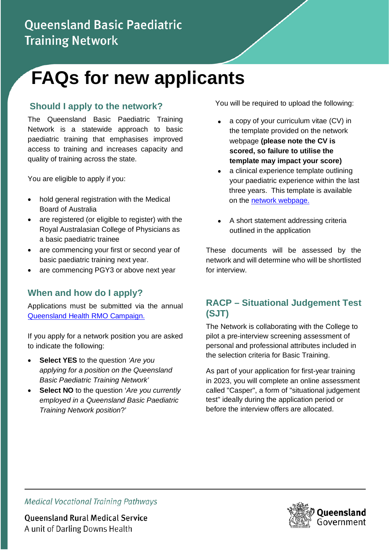# **Queensland Basic Paediatric Training Network**

# **FAQs for new applicants**

# **Should I apply to the network?**

The Queensland Basic Paediatric Training Network is a statewide approach to basic paediatric training that emphasises improved access to training and increases capacity and quality of training across the state.

You are eligible to apply if you:

- hold general registration with the Medical Board of Australia
- are registered (or eligible to register) with the Royal Australasian College of Physicians as a basic paediatric trainee
- are commencing your first or second year of basic paediatric training next year.
- are commencing PGY3 or above next year

# **When and how do I apply?**

Applications must be submitted via the annual [Queensland Health RMO Campaign.](https://www.health.qld.gov.au/employment/work-for-us/clinical/medical/recruitment/rmo)

If you apply for a network position you are asked to indicate the following:

- **Select YES** to the question *'Are you applying for a position on the Queensland Basic Paediatric Training Network'*
- **Select NO** to the question '*Are you currently employed in a Queensland Basic Paediatric Training Network position*?'

You will be required to upload the following:

- a copy of your curriculum vitae (CV) in the template provided on the network webpage **(please note the CV is scored, so failure to utilise the template may impact your score)**
- a clinical experience template outlining your paediatric experience within the last three years. This template is available on the [network webpage.](https://www.health.qld.gov.au/rmo/pathways/basic-paeds-path)
- A short statement addressing criteria outlined in the application

These documents will be assessed by the network and will determine who will be shortlisted for interview.

# **RACP – Situational Judgement Test (SJT)**

The Network is collaborating with the College to pilot a pre-interview screening assessment of personal and professional attributes included in the selection criteria for Basic Training.

As part of your application for first-year training in 2023, you will complete an online assessment called "Casper", a form of "situational judgement test" ideally during the application period or before the interview offers are allocated.



**Medical Vocational Training Pathways** 

**Queensland Rural Medical Service** A unit of Darling Downs Health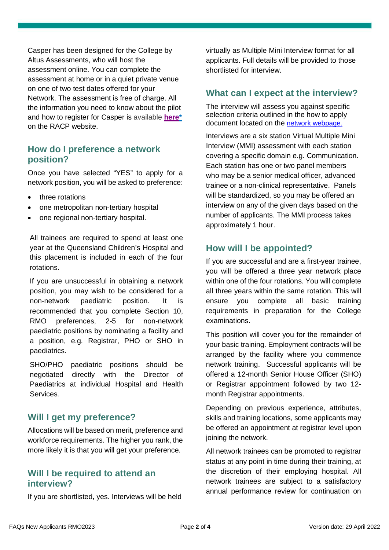Casper has been designed for the College by Altus Assessments, who will host the assessment online. You can complete the assessment at home or in a quiet private venue on one of two test dates offered for your Network. The assessment is free of charge. All the information you need to know about the pilot and how to register for Casper is available **[here\\*](https://www.racp.edu.au/become-a-physician/entry-into-basic-training/casper-assessment-pilot-2022)**  on the RACP website.

#### **How do I preference a network position?**

Once you have selected "YES" to apply for a network position, you will be asked to preference:

- three rotations
- one metropolitan non-tertiary hospital
- one regional non-tertiary hospital.

All trainees are required to spend at least one year at the Queensland Children's Hospital and this placement is included in each of the four rotations.

If you are unsuccessful in obtaining a network position, you may wish to be considered for a non-network paediatric position. It is recommended that you complete Section 10, RMO preferences, 2-5 for non-network paediatric positions by nominating a facility and a position, e.g. Registrar, PHO or SHO in paediatrics.

SHO/PHO paediatric positions should be negotiated directly with the Director of Paediatrics at individual Hospital and Health Services.

#### **Will I get my preference?**

Allocations will be based on merit, preference and workforce requirements. The higher you rank, the more likely it is that you will get your preference.

#### **Will I be required to attend an interview?**

If you are shortlisted, yes. Interviews will be held

virtually as Multiple Mini Interview format for all applicants. Full details will be provided to those shortlisted for interview.

#### **What can I expect at the interview?**

The interview will assess you against specific selection criteria outlined in the how to apply document located on the [network webpage.](https://www.health.qld.gov.au/employment/work-for-us/clinical/medical/recruitment/training/basic-paediatric)

Interviews are a six station Virtual Multiple Mini Interview (MMI) assessment with each station covering a specific domain e.g. Communication. Each station has one or two panel members who may be a senior medical officer, advanced trainee or a non-clinical representative. Panels will be standardized, so you may be offered an interview on any of the given days based on the number of applicants. The MMI process takes approximately 1 hour.

#### **How will I be appointed?**

If you are successful and are a first-year trainee, you will be offered a three year network place within one of the four rotations. You will complete all three years within the same rotation. This will ensure you complete all basic training requirements in preparation for the College examinations.

This position will cover you for the remainder of your basic training. Employment contracts will be arranged by the facility where you commence network training. Successful applicants will be offered a 12-month Senior House Officer (SHO) or Registrar appointment followed by two 12 month Registrar appointments.

Depending on previous experience, attributes, skills and training locations, some applicants may be offered an appointment at registrar level upon joining the network.

All network trainees can be promoted to registrar status at any point in time during their training, at the discretion of their employing hospital. All network trainees are subject to a satisfactory annual performance review for continuation on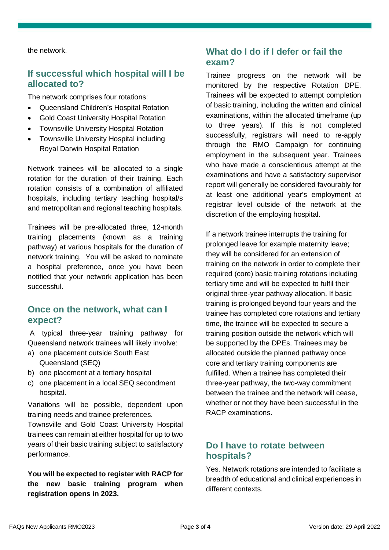the network.

#### **If successful which hospital will I be allocated to?**

The network comprises four rotations:

- Queensland Children's Hospital Rotation
- Gold Coast University Hospital Rotation
- Townsville University Hospital Rotation
- Townsville University Hospital including Royal Darwin Hospital Rotation

Network trainees will be allocated to a single rotation for the duration of their training. Each rotation consists of a combination of affiliated hospitals, including t*e*rtiary teaching hospital/s and metropolitan and regional teaching hospitals.

Trainees will be pre-allocated three, 12-month training placements (known as a training pathway) at various hospitals for the duration of network training. You will be asked to nominate a hospital preference, once you have been notified that your network application has been successful.

#### **Once on the network, what can I expect?**

A typical three-year training pathway for Queensland network trainees will likely involve:

- a) one placement outside South East Queensland (SEQ)
- b) one placement at a tertiary hospital
- c) one placement in a local SEQ secondment hospital.

Variations will be possible, dependent upon training needs and trainee preferences.

Townsville and Gold Coast University Hospital trainees can remain at either hospital for up to two years of their basic training subject to satisfactory performance.

**You will be expected to register with RACP for the new basic training program when registration opens in 2023.**

# **What do I do if I defer or fail the exam?**

Trainee progress on the network will be monitored by the respective Rotation DPE. Trainees will be expected to attempt completion of basic training, including the written and clinical examinations, within the allocated timeframe (up to three years). If this is not completed successfully, registrars will need to re-apply through the RMO Campaign for continuing employment in the subsequent year. Trainees who have made a conscientious attempt at the examinations and have a satisfactory supervisor report will generally be considered favourably for at least one additional year's employment at registrar level outside of the network at the discretion of the employing hospital.

If a network trainee interrupts the training for prolonged leave for example maternity leave; they will be considered for an extension of training on the network in order to complete their required (core) basic training rotations including tertiary time and will be expected to fulfil their original three-year pathway allocation. If basic training is prolonged beyond four years and the trainee has completed core rotations and tertiary time, the trainee will be expected to secure a training position outside the network which will be supported by the DPEs. Trainees may be allocated outside the planned pathway once core and tertiary training components are fulfilled. When a trainee has completed their three-year pathway, the two-way commitment between the trainee and the network will cease, whether or not they have been successful in the RACP examinations.

# **Do I have to rotate between hospitals?**

Yes. Network rotations are intended to facilitate a breadth of educational and clinical experiences in different contexts.